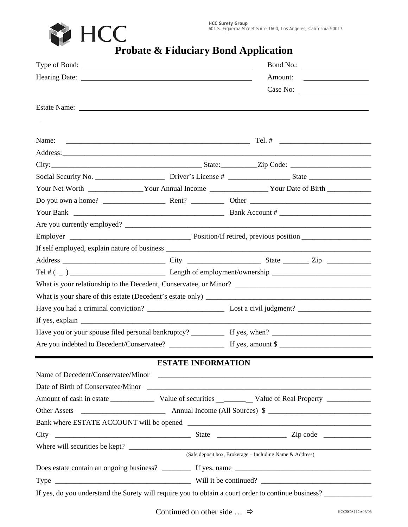**HCC Surety Group** 601 S. Figueroa Street Suite 1600, Los Angeles, California 90017



**PRODUCE THEOREM PROBATE SUITE 1600, LOS AND PROBATE SUITE 1600, LOS AND PROBATE & Fiduciary Bond Application** 

|                                                                                                                                                                                                                                                                                                                                                                                                                    |                           | Bond No.:                                                                                            |  |  |
|--------------------------------------------------------------------------------------------------------------------------------------------------------------------------------------------------------------------------------------------------------------------------------------------------------------------------------------------------------------------------------------------------------------------|---------------------------|------------------------------------------------------------------------------------------------------|--|--|
|                                                                                                                                                                                                                                                                                                                                                                                                                    |                           |                                                                                                      |  |  |
|                                                                                                                                                                                                                                                                                                                                                                                                                    |                           | Case No:                                                                                             |  |  |
|                                                                                                                                                                                                                                                                                                                                                                                                                    |                           |                                                                                                      |  |  |
|                                                                                                                                                                                                                                                                                                                                                                                                                    |                           |                                                                                                      |  |  |
| Name:                                                                                                                                                                                                                                                                                                                                                                                                              |                           |                                                                                                      |  |  |
|                                                                                                                                                                                                                                                                                                                                                                                                                    |                           |                                                                                                      |  |  |
|                                                                                                                                                                                                                                                                                                                                                                                                                    |                           |                                                                                                      |  |  |
|                                                                                                                                                                                                                                                                                                                                                                                                                    |                           |                                                                                                      |  |  |
|                                                                                                                                                                                                                                                                                                                                                                                                                    |                           | Your Net Worth ________________Your Annual Income ___________________Your Date of Birth ____________ |  |  |
|                                                                                                                                                                                                                                                                                                                                                                                                                    |                           |                                                                                                      |  |  |
|                                                                                                                                                                                                                                                                                                                                                                                                                    |                           |                                                                                                      |  |  |
|                                                                                                                                                                                                                                                                                                                                                                                                                    |                           |                                                                                                      |  |  |
|                                                                                                                                                                                                                                                                                                                                                                                                                    |                           |                                                                                                      |  |  |
|                                                                                                                                                                                                                                                                                                                                                                                                                    |                           |                                                                                                      |  |  |
|                                                                                                                                                                                                                                                                                                                                                                                                                    |                           |                                                                                                      |  |  |
|                                                                                                                                                                                                                                                                                                                                                                                                                    |                           |                                                                                                      |  |  |
|                                                                                                                                                                                                                                                                                                                                                                                                                    |                           |                                                                                                      |  |  |
|                                                                                                                                                                                                                                                                                                                                                                                                                    |                           |                                                                                                      |  |  |
|                                                                                                                                                                                                                                                                                                                                                                                                                    |                           |                                                                                                      |  |  |
| If yes, explain $\frac{1}{\sqrt{1-\frac{1}{\sqrt{1-\frac{1}{\sqrt{1-\frac{1}{\sqrt{1-\frac{1}{\sqrt{1-\frac{1}{\sqrt{1-\frac{1}{\sqrt{1-\frac{1}{\sqrt{1-\frac{1}{\sqrt{1-\frac{1}{\sqrt{1-\frac{1}{\sqrt{1-\frac{1}{\sqrt{1-\frac{1}{\sqrt{1-\frac{1}{\sqrt{1-\frac{1}{\sqrt{1-\frac{1}{\sqrt{1-\frac{1}{\sqrt{1-\frac{1}{\sqrt{1-\frac{1}{\sqrt{1-\frac{1}{\sqrt{1-\frac{1}{\sqrt{1-\frac{1}{\sqrt{1-\frac{1}{\$ |                           |                                                                                                      |  |  |
|                                                                                                                                                                                                                                                                                                                                                                                                                    |                           |                                                                                                      |  |  |
|                                                                                                                                                                                                                                                                                                                                                                                                                    |                           |                                                                                                      |  |  |
|                                                                                                                                                                                                                                                                                                                                                                                                                    |                           |                                                                                                      |  |  |
|                                                                                                                                                                                                                                                                                                                                                                                                                    | <b>ESTATE INFORMATION</b> |                                                                                                      |  |  |
|                                                                                                                                                                                                                                                                                                                                                                                                                    |                           |                                                                                                      |  |  |
|                                                                                                                                                                                                                                                                                                                                                                                                                    |                           |                                                                                                      |  |  |
|                                                                                                                                                                                                                                                                                                                                                                                                                    |                           |                                                                                                      |  |  |
|                                                                                                                                                                                                                                                                                                                                                                                                                    |                           |                                                                                                      |  |  |
|                                                                                                                                                                                                                                                                                                                                                                                                                    |                           |                                                                                                      |  |  |
|                                                                                                                                                                                                                                                                                                                                                                                                                    |                           |                                                                                                      |  |  |
|                                                                                                                                                                                                                                                                                                                                                                                                                    |                           | (Safe deposit box, Brokerage - Including Name & Address)                                             |  |  |
|                                                                                                                                                                                                                                                                                                                                                                                                                    |                           |                                                                                                      |  |  |
|                                                                                                                                                                                                                                                                                                                                                                                                                    |                           |                                                                                                      |  |  |
|                                                                                                                                                                                                                                                                                                                                                                                                                    |                           |                                                                                                      |  |  |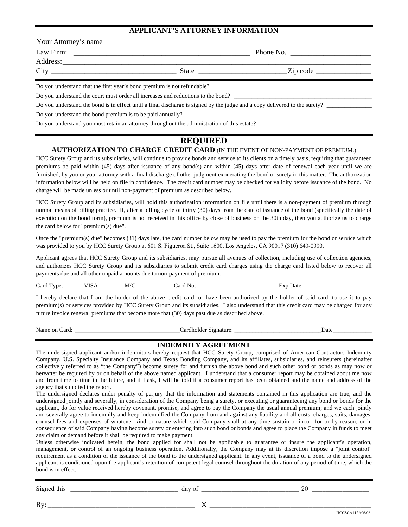### **APPLICANT'S ATTORNEY INFORMATION**

| Your Attorney's name |                                                                                             |                                                                                                                                                                                                                                                                                                                       |  |  |  |
|----------------------|---------------------------------------------------------------------------------------------|-----------------------------------------------------------------------------------------------------------------------------------------------------------------------------------------------------------------------------------------------------------------------------------------------------------------------|--|--|--|
|                      |                                                                                             | Phone No.                                                                                                                                                                                                                                                                                                             |  |  |  |
|                      |                                                                                             |                                                                                                                                                                                                                                                                                                                       |  |  |  |
|                      |                                                                                             | State $\frac{1}{2}$ $\frac{1}{2}$ $\frac{1}{2}$ $\frac{1}{2}$ $\frac{1}{2}$ $\frac{1}{2}$ $\frac{1}{2}$ $\frac{1}{2}$ $\frac{1}{2}$ $\frac{1}{2}$ $\frac{1}{2}$ $\frac{1}{2}$ $\frac{1}{2}$ $\frac{1}{2}$ $\frac{1}{2}$ $\frac{1}{2}$ $\frac{1}{2}$ $\frac{1}{2}$ $\frac{1}{2}$ $\frac{1}{2}$ $\frac{1}{2}$ $\frac{1$ |  |  |  |
|                      | Do you understand that the first year's bond premium is not refundable?                     |                                                                                                                                                                                                                                                                                                                       |  |  |  |
|                      | Do you understand the court must order all increases and reductions to the bond?            |                                                                                                                                                                                                                                                                                                                       |  |  |  |
|                      |                                                                                             | Do you understand the bond is in effect until a final discharge is signed by the judge and a copy delivered to the surety?                                                                                                                                                                                            |  |  |  |
|                      | Do you understand the bond premium is to be paid annually?                                  |                                                                                                                                                                                                                                                                                                                       |  |  |  |
|                      | Do you understand you must retain an attorney throughout the administration of this estate? |                                                                                                                                                                                                                                                                                                                       |  |  |  |

# **REQUIRED**

# **AUTHORIZATION TO CHARGE CREDIT CARD** (IN THE EVENT OF NON-PAYMENT OF PREMIUM.)

HCC Surety Group and its subsidiaries, will continue to provide bonds and service to its clients on a timely basis, requiring that guaranteed premiums be paid within (45) days after issuance of any bond(s) and within (45) days after date of renewal each year until we are furnished, by you or your attorney with a final discharge of other judgment exonerating the bond or surety in this matter. The authorization information below will be held on file in confidence. The credit card number may be checked for validity before issuance of the bond. No charge will be made unless or until non-payment of premium as described below.

HCC Surety Group and its subsidiaries, will hold this authorization information on file until there is a non-payment of premium through normal means of billing practice. If, after a billing cycle of thirty (30) days from the date of issuance of the bond (specifically the date of execution on the bond form), premium is not received in this office by close of business on the 30th day, then you authorize us to charge the card below for "premium(s) due".

Once the "premium(s) due" becomes (31) days late, the card number below may be used to pay the premium for the bond or service which was provided to you by HCC Surety Group at 601 S. Figueroa St., Suite 1600, Los Angeles, CA 90017 (310) 649-0990.

Applicant agrees that HCC Surety Group and its subsidiaries, may pursue all avenues of collection, including use of collection agencies, and authorizes HCC Surety Group and its subsidiaries to submit credit card charges using the charge card listed below to recover all payments due and all other unpaid amounts due to non-payment of premium.

Card Type: VISA \_\_\_\_\_\_\_\_ M/C \_\_\_\_\_\_\_\_\_\_\_ Card No: \_\_\_\_\_\_\_\_\_\_\_\_\_\_\_\_\_\_\_\_\_\_\_\_\_\_\_\_\_\_\_ Exp Date: \_\_\_\_\_\_\_\_\_\_\_\_\_\_\_\_\_\_

I hereby declare that I am the holder of the above credit card, or have been authorized by the holder of said card, to use it to pay premium(s) or services provided by HCC Surety Group and its subsidiaries. I also understand that this credit card may be charged for any future invoice renewal premiums that become more that (30) days past due as described above.

Name on Card: \_\_\_\_\_\_\_\_\_\_\_\_\_\_\_\_\_\_\_\_\_\_\_\_\_\_\_\_\_\_\_\_\_\_\_Cardholder Signature: \_\_\_\_\_\_\_\_\_\_\_\_\_\_\_\_\_\_\_\_\_\_\_\_\_\_\_\_\_Date\_\_\_\_\_\_\_\_\_\_\_\_\_

## **INDEMNITY AGREEMENT**

The undersigned applicant and/or indemnitors hereby request that HCC Surety Group, comprised of American Contractors Indemnity Company, U.S. Specialty Insurance Company and Texas Bonding Company, and its affiliates, subsidiaries, and reinsurers (hereinafter collectively referred to as "the Company") become surety for and furnish the above bond and such other bond or bonds as may now or hereafter be required by or on behalf of the above named applicant. I understand that a consumer report may be obtained about me now and from time to time in the future, and if I ask, I will be told if a consumer report has been obtained and the name and address of the agency that supplied the report.

The undersigned declares under penalty of perjury that the information and statements contained in this application are true, and the undersigned jointly and severally, in consideration of the Company being a surety, or executing or guaranteeing any bond or bonds for the applicant, do for value received hereby covenant, promise, and agree to pay the Company the usual annual premium; and we each jointly and severally agree to indemnify and keep indemnified the Company from and against any liability and all costs, charges, suits, damages, counsel fees and expenses of whatever kind or nature which said Company shall at any time sustain or incur, for or by reason, or in consequence of said Company having become surety or entering into such bond or bonds and agree to place the Company in funds to meet any claim or demand before it shall be required to make payment.

Unless otherwise indicated herein, the bond applied for shall not be applicable to guarantee or insure the applicant's operation, management, or control of an ongoing business operation. Additionally, the Company may at its discretion impose a "joint control" requirement as a condition of the issuance of the bond to the undersigned applicant. In any event, issuance of a bond to the undersigned applicant is conditioned upon the applicant's retention of competent legal counsel throughout the duration of any period of time, which the bond is in effect.

| $\sim$<br>.31Y<br> | aa<br>11<br>___________<br>______<br>________<br>_______<br>________ | 77<br>$ -$<br>_______________ |
|--------------------|----------------------------------------------------------------------|-------------------------------|
|                    |                                                                      |                               |

By: \_\_\_\_\_\_\_\_\_\_\_\_\_\_\_\_\_\_\_\_\_\_\_\_\_\_\_\_\_\_\_\_\_\_\_\_\_\_\_\_ X \_\_\_\_\_\_\_\_\_\_\_\_\_\_\_\_\_\_\_\_\_\_\_\_\_\_\_\_\_\_\_\_\_\_\_\_\_\_\_\_\_\_\_\_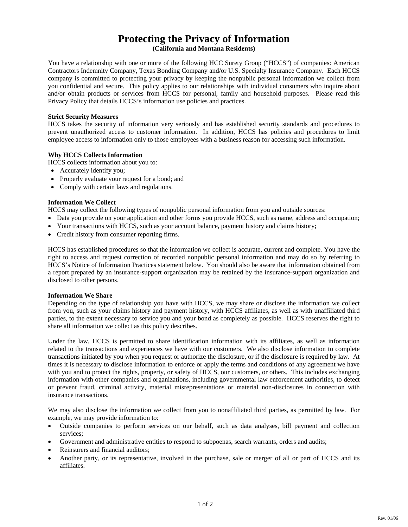# **Protecting the Privacy of Information**

**(California and Montana Residents)**

You have a relationship with one or more of the following HCC Surety Group ("HCCS") of companies: American Contractors Indemnity Company, Texas Bonding Company and/or U.S. Specialty Insurance Company. Each HCCS company is committed to protecting your privacy by keeping the nonpublic personal information we collect from you confidential and secure. This policy applies to our relationships with individual consumers who inquire about and/or obtain products or services from HCCS for personal, family and household purposes. Please read this Privacy Policy that details HCCS's information use policies and practices.

#### **Strict Security Measures**

HCCS takes the security of information very seriously and has established security standards and procedures to prevent unauthorized access to customer information. In addition, HCCS has policies and procedures to limit employee access to information only to those employees with a business reason for accessing such information.

#### **Why HCCS Collects Information**

HCCS collects information about you to:

- Accurately identify you;
- Properly evaluate your request for a bond; and
- Comply with certain laws and regulations.

#### **Information We Collect**

HCCS may collect the following types of nonpublic personal information from you and outside sources:

- Data you provide on your application and other forms you provide HCCS, such as name, address and occupation;
- Your transactions with HCCS, such as your account balance, payment history and claims history;
- Credit history from consumer reporting firms.

HCCS has established procedures so that the information we collect is accurate, current and complete. You have the right to access and request correction of recorded nonpublic personal information and may do so by referring to HCCS's Notice of Information Practices statement below. You should also be aware that information obtained from a report prepared by an insurance-support organization may be retained by the insurance-support organization and disclosed to other persons.

#### **Information We Share**

Depending on the type of relationship you have with HCCS, we may share or disclose the information we collect from you, such as your claims history and payment history, with HCCS affiliates, as well as with unaffiliated third parties, to the extent necessary to service you and your bond as completely as possible. HCCS reserves the right to share all information we collect as this policy describes.

Under the law, HCCS is permitted to share identification information with its affiliates, as well as information related to the transactions and experiences we have with our customers. We also disclose information to complete transactions initiated by you when you request or authorize the disclosure, or if the disclosure is required by law. At times it is necessary to disclose information to enforce or apply the terms and conditions of any agreement we have with you and to protect the rights, property, or safety of HCCS, our customers, or others. This includes exchanging information with other companies and organizations, including governmental law enforcement authorities, to detect or prevent fraud, criminal activity, material misrepresentations or material non-disclosures in connection with insurance transactions.

We may also disclose the information we collect from you to nonaffiliated third parties, as permitted by law. For example, we may provide information to:

- Outside companies to perform services on our behalf, such as data analyses, bill payment and collection services;
- Government and administrative entities to respond to subpoenas, search warrants, orders and audits;
- Reinsurers and financial auditors:
- Another party, or its representative, involved in the purchase, sale or merger of all or part of HCCS and its affiliates.